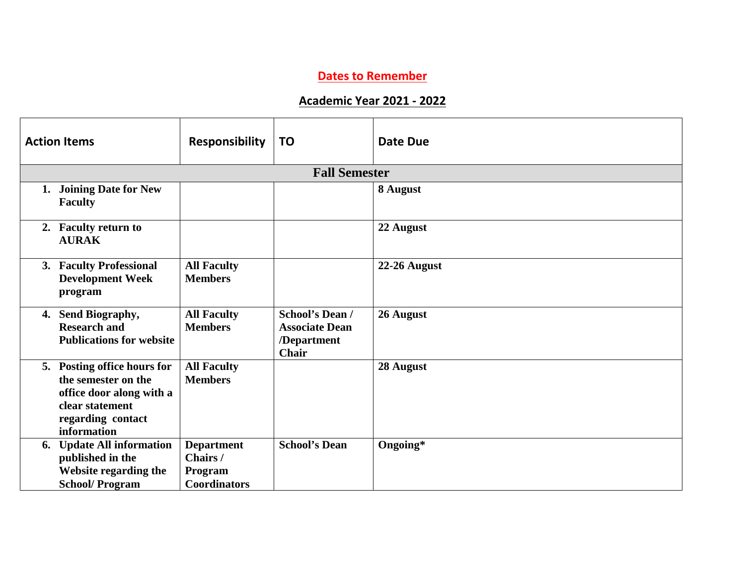## **Dates to Remember**

## **Academic Year 2021 - 2022**

| <b>Action Items</b>                                                                                                                   | <b>Responsibility</b>                                           | <b>TO</b>                                                                      | <b>Date Due</b> |
|---------------------------------------------------------------------------------------------------------------------------------------|-----------------------------------------------------------------|--------------------------------------------------------------------------------|-----------------|
|                                                                                                                                       |                                                                 | <b>Fall Semester</b>                                                           |                 |
| <b>Joining Date for New</b><br>1.<br><b>Faculty</b>                                                                                   |                                                                 |                                                                                | 8 August        |
| 2. Faculty return to<br><b>AURAK</b>                                                                                                  |                                                                 |                                                                                | 22 August       |
| 3. Faculty Professional<br><b>Development Week</b><br>program                                                                         | <b>All Faculty</b><br><b>Members</b>                            |                                                                                | 22-26 August    |
| Send Biography,<br>4.<br><b>Research and</b><br><b>Publications for website</b>                                                       | <b>All Faculty</b><br><b>Members</b>                            | <b>School's Dean /</b><br><b>Associate Dean</b><br>/Department<br><b>Chair</b> | 26 August       |
| 5. Posting office hours for<br>the semester on the<br>office door along with a<br>clear statement<br>regarding contact<br>information | <b>All Faculty</b><br><b>Members</b>                            |                                                                                | 28 August       |
| 6. Update All information<br>published in the<br>Website regarding the<br><b>School/Program</b>                                       | <b>Department</b><br>Chairs /<br>Program<br><b>Coordinators</b> | <b>School's Dean</b>                                                           | Ongoing*        |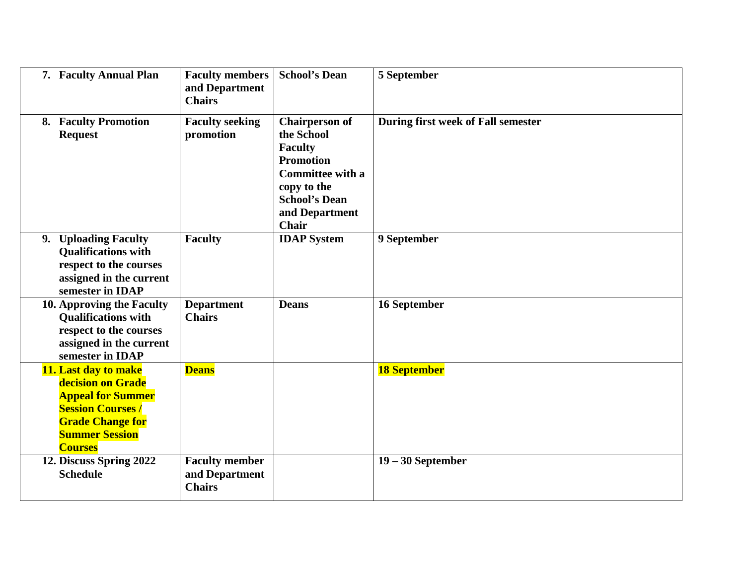| 7. Faculty Annual Plan                                                                                                                                                 | <b>Faculty members</b><br>and Department<br><b>Chairs</b> | <b>School's Dean</b>                                                                                                                                                   | 5 September                        |
|------------------------------------------------------------------------------------------------------------------------------------------------------------------------|-----------------------------------------------------------|------------------------------------------------------------------------------------------------------------------------------------------------------------------------|------------------------------------|
| 8. Faculty Promotion<br><b>Request</b>                                                                                                                                 | <b>Faculty seeking</b><br>promotion                       | <b>Chairperson of</b><br>the School<br><b>Faculty</b><br><b>Promotion</b><br><b>Committee with a</b><br>copy to the<br><b>School's Dean</b><br>and Department<br>Chair | During first week of Fall semester |
| 9. Uploading Faculty<br><b>Qualifications with</b><br>respect to the courses<br>assigned in the current<br>semester in IDAP                                            | <b>Faculty</b>                                            | <b>IDAP</b> System                                                                                                                                                     | 9 September                        |
| 10. Approving the Faculty<br><b>Qualifications with</b><br>respect to the courses<br>assigned in the current<br>semester in IDAP                                       | <b>Department</b><br><b>Chairs</b>                        | <b>Deans</b>                                                                                                                                                           | 16 September                       |
| 11. Last day to make<br>decision on Grade<br><b>Appeal for Summer</b><br><b>Session Courses/</b><br><b>Grade Change for</b><br><b>Summer Session</b><br><b>Courses</b> | <b>Deans</b>                                              |                                                                                                                                                                        | <b>18 September</b>                |
| 12. Discuss Spring 2022<br><b>Schedule</b>                                                                                                                             | <b>Faculty member</b><br>and Department<br><b>Chairs</b>  |                                                                                                                                                                        | $19 - 30$ September                |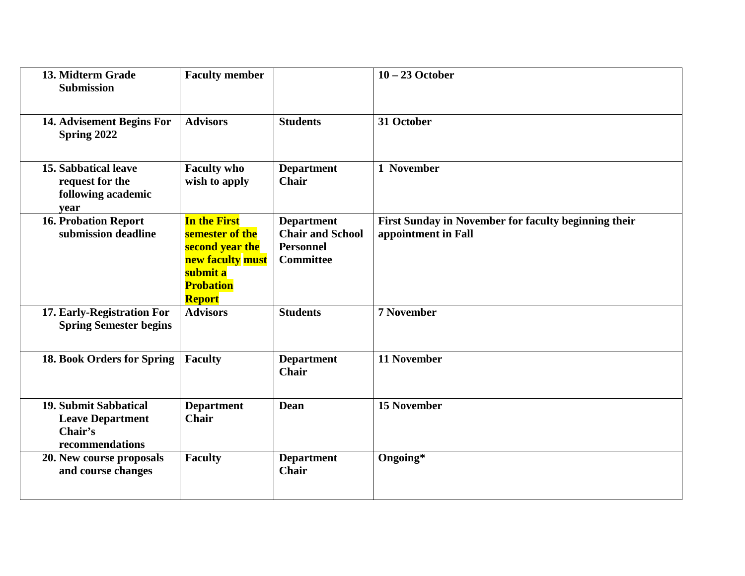| 13. Midterm Grade<br><b>Submission</b>                                         | <b>Faculty member</b>                                                                                                          |                                                                                      | $10 - 23$ October                                                           |
|--------------------------------------------------------------------------------|--------------------------------------------------------------------------------------------------------------------------------|--------------------------------------------------------------------------------------|-----------------------------------------------------------------------------|
| 14. Advisement Begins For<br>Spring 2022                                       | <b>Advisors</b>                                                                                                                | <b>Students</b>                                                                      | 31 October                                                                  |
| 15. Sabbatical leave<br>request for the<br>following academic<br>vear          | <b>Faculty who</b><br>wish to apply                                                                                            | <b>Department</b><br><b>Chair</b>                                                    | 1 November                                                                  |
| <b>16. Probation Report</b><br>submission deadline                             | <b>In the First</b><br>semester of the<br>second year the<br>new faculty must<br>submit a<br><b>Probation</b><br><b>Report</b> | <b>Department</b><br><b>Chair and School</b><br><b>Personnel</b><br><b>Committee</b> | First Sunday in November for faculty beginning their<br>appointment in Fall |
| 17. Early-Registration For<br><b>Spring Semester begins</b>                    | <b>Advisors</b>                                                                                                                | <b>Students</b>                                                                      | <b>7 November</b>                                                           |
| 18. Book Orders for Spring                                                     | <b>Faculty</b>                                                                                                                 | <b>Department</b><br><b>Chair</b>                                                    | <b>11 November</b>                                                          |
| 19. Submit Sabbatical<br><b>Leave Department</b><br>Chair's<br>recommendations | <b>Department</b><br><b>Chair</b>                                                                                              | Dean                                                                                 | <b>15 November</b>                                                          |
| 20. New course proposals<br>and course changes                                 | <b>Faculty</b>                                                                                                                 | <b>Department</b><br><b>Chair</b>                                                    | Ongoing*                                                                    |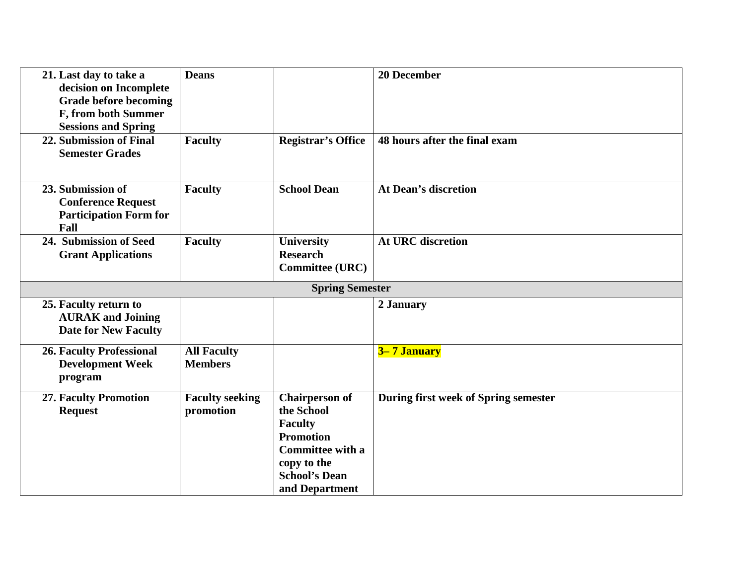| 21. Last day to take a<br>decision on Incomplete<br><b>Grade before becoming</b><br>F, from both Summer<br><b>Sessions and Spring</b> | <b>Deans</b>                         |                                                                                                                                                               | <b>20 December</b>                   |
|---------------------------------------------------------------------------------------------------------------------------------------|--------------------------------------|---------------------------------------------------------------------------------------------------------------------------------------------------------------|--------------------------------------|
| 22. Submission of Final<br><b>Semester Grades</b>                                                                                     | <b>Faculty</b>                       | <b>Registrar's Office</b>                                                                                                                                     | 48 hours after the final exam        |
| 23. Submission of<br><b>Conference Request</b><br><b>Participation Form for</b><br>Fall                                               | <b>Faculty</b>                       | <b>School Dean</b>                                                                                                                                            | <b>At Dean's discretion</b>          |
| 24. Submission of Seed<br><b>Grant Applications</b>                                                                                   | <b>Faculty</b>                       | <b>University</b><br><b>Research</b><br><b>Committee (URC)</b>                                                                                                | <b>At URC discretion</b>             |
|                                                                                                                                       |                                      | <b>Spring Semester</b>                                                                                                                                        |                                      |
| 25. Faculty return to<br><b>AURAK</b> and Joining<br><b>Date for New Faculty</b>                                                      |                                      |                                                                                                                                                               | 2 January                            |
| <b>26. Faculty Professional</b><br><b>Development Week</b><br>program                                                                 | <b>All Faculty</b><br><b>Members</b> |                                                                                                                                                               | 3–7 January                          |
| <b>27. Faculty Promotion</b><br><b>Request</b>                                                                                        | <b>Faculty seeking</b><br>promotion  | <b>Chairperson of</b><br>the School<br><b>Faculty</b><br><b>Promotion</b><br><b>Committee with a</b><br>copy to the<br><b>School's Dean</b><br>and Department | During first week of Spring semester |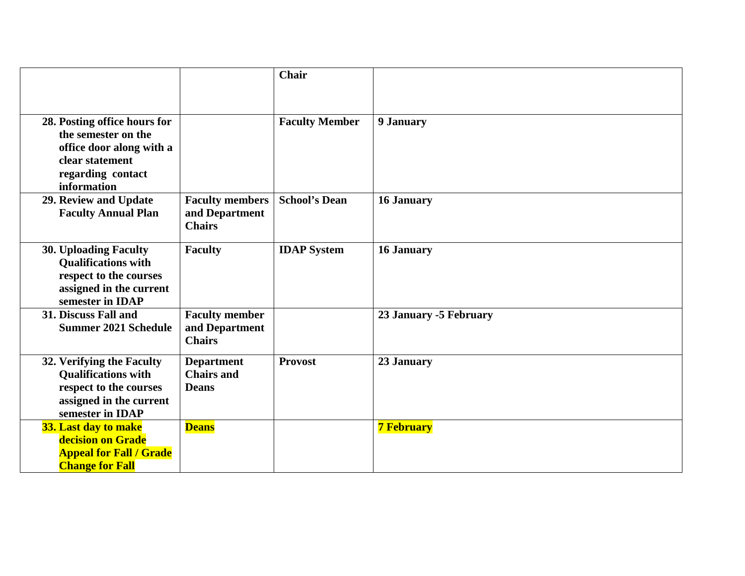|                                                                                                                                        |                                                           | Chair                 |                        |
|----------------------------------------------------------------------------------------------------------------------------------------|-----------------------------------------------------------|-----------------------|------------------------|
| 28. Posting office hours for<br>the semester on the<br>office door along with a<br>clear statement<br>regarding contact<br>information |                                                           | <b>Faculty Member</b> | 9 January              |
| 29. Review and Update<br><b>Faculty Annual Plan</b>                                                                                    | <b>Faculty members</b><br>and Department<br><b>Chairs</b> | <b>School's Dean</b>  | 16 January             |
| <b>30. Uploading Faculty</b><br><b>Qualifications with</b><br>respect to the courses<br>assigned in the current<br>semester in IDAP    | <b>Faculty</b>                                            | <b>IDAP</b> System    | <b>16 January</b>      |
| 31. Discuss Fall and<br><b>Summer 2021 Schedule</b>                                                                                    | <b>Faculty member</b><br>and Department<br><b>Chairs</b>  |                       | 23 January -5 February |
| 32. Verifying the Faculty<br><b>Qualifications with</b><br>respect to the courses<br>assigned in the current<br>semester in IDAP       | <b>Department</b><br><b>Chairs and</b><br><b>Deans</b>    | <b>Provost</b>        | 23 January             |
| 33. Last day to make<br>decision on Grade<br><b>Appeal for Fall / Grade</b><br><b>Change for Fall</b>                                  | <b>Deans</b>                                              |                       | <b>7 February</b>      |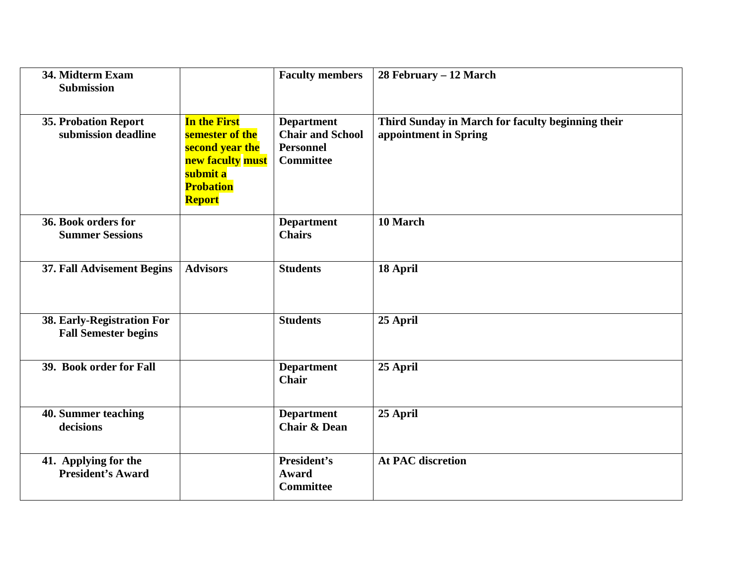| 34. Midterm Exam<br><b>Submission</b>                     |                                                                                                                                | <b>Faculty members</b>                                                               | 28 February – 12 March                                                     |
|-----------------------------------------------------------|--------------------------------------------------------------------------------------------------------------------------------|--------------------------------------------------------------------------------------|----------------------------------------------------------------------------|
| <b>35. Probation Report</b><br>submission deadline        | <b>In the First</b><br>semester of the<br>second year the<br>new faculty must<br>submit a<br><b>Probation</b><br><b>Report</b> | <b>Department</b><br><b>Chair and School</b><br><b>Personnel</b><br><b>Committee</b> | Third Sunday in March for faculty beginning their<br>appointment in Spring |
| 36. Book orders for<br><b>Summer Sessions</b>             |                                                                                                                                | <b>Department</b><br><b>Chairs</b>                                                   | 10 March                                                                   |
| 37. Fall Advisement Begins                                | <b>Advisors</b>                                                                                                                | <b>Students</b>                                                                      | 18 April                                                                   |
| 38. Early-Registration For<br><b>Fall Semester begins</b> |                                                                                                                                | <b>Students</b>                                                                      | 25 April                                                                   |
| 39. Book order for Fall                                   |                                                                                                                                | <b>Department</b><br><b>Chair</b>                                                    | 25 April                                                                   |
| 40. Summer teaching<br>decisions                          |                                                                                                                                | <b>Department</b><br><b>Chair &amp; Dean</b>                                         | 25 April                                                                   |
| 41. Applying for the<br><b>President's Award</b>          |                                                                                                                                | President's<br><b>Award</b><br><b>Committee</b>                                      | <b>At PAC discretion</b>                                                   |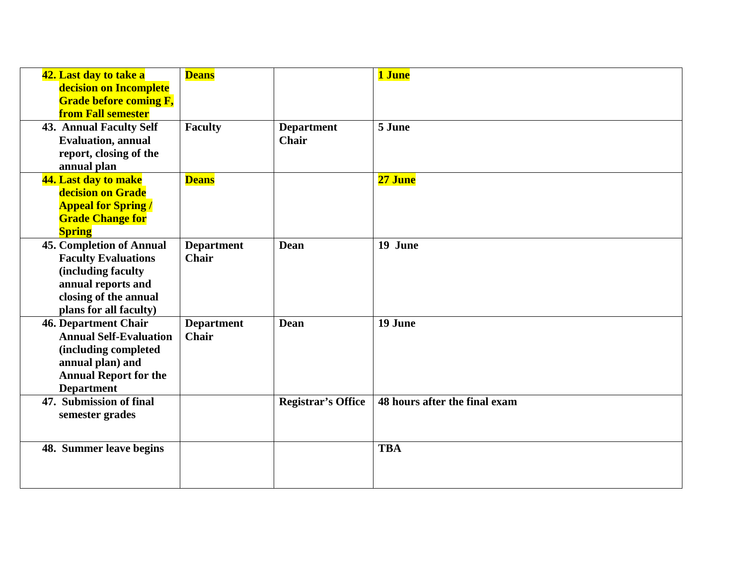| 42. Last day to take a          | <b>Deans</b>      |                           | 1 June                        |
|---------------------------------|-------------------|---------------------------|-------------------------------|
| decision on Incomplete          |                   |                           |                               |
| <b>Grade before coming F,</b>   |                   |                           |                               |
| <b>from Fall semester</b>       |                   |                           |                               |
| <b>43. Annual Faculty Self</b>  | <b>Faculty</b>    | <b>Department</b>         | 5 June                        |
| <b>Evaluation</b> , annual      |                   | <b>Chair</b>              |                               |
| report, closing of the          |                   |                           |                               |
| annual plan                     |                   |                           |                               |
| 44. Last day to make            | <b>Deans</b>      |                           | 27 June                       |
| decision on Grade               |                   |                           |                               |
| <b>Appeal for Spring/</b>       |                   |                           |                               |
| <b>Grade Change for</b>         |                   |                           |                               |
| <b>Spring</b>                   |                   |                           |                               |
| <b>45. Completion of Annual</b> | <b>Department</b> | <b>Dean</b>               | 19 June                       |
| <b>Faculty Evaluations</b>      | <b>Chair</b>      |                           |                               |
| (including faculty              |                   |                           |                               |
| annual reports and              |                   |                           |                               |
| closing of the annual           |                   |                           |                               |
| plans for all faculty)          |                   |                           |                               |
| <b>46. Department Chair</b>     | <b>Department</b> | <b>Dean</b>               | 19 June                       |
| <b>Annual Self-Evaluation</b>   | <b>Chair</b>      |                           |                               |
| (including completed            |                   |                           |                               |
| annual plan) and                |                   |                           |                               |
| <b>Annual Report for the</b>    |                   |                           |                               |
| <b>Department</b>               |                   |                           |                               |
| 47. Submission of final         |                   | <b>Registrar's Office</b> | 48 hours after the final exam |
| semester grades                 |                   |                           |                               |
|                                 |                   |                           |                               |
|                                 |                   |                           | <b>TBA</b>                    |
| 48. Summer leave begins         |                   |                           |                               |
|                                 |                   |                           |                               |
|                                 |                   |                           |                               |